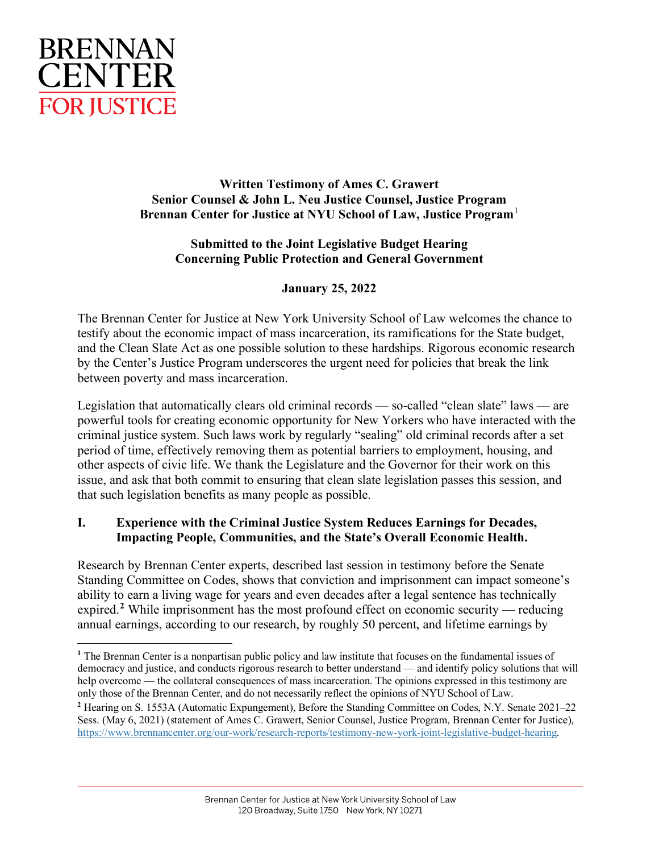

**Written Testimony of Ames C. Grawert Senior Counsel & John L. Neu Justice Counsel, Justice Program Brennan Center for Justice at NYU School of Law, Justice Program**[1](#page-0-0)

### **Submitted to the Joint Legislative Budget Hearing Concerning Public Protection and General Government**

# **January 25, 2022**

The Brennan Center for Justice at New York University School of Law welcomes the chance to testify about the economic impact of mass incarceration, its ramifications for the State budget, and the Clean Slate Act as one possible solution to these hardships. Rigorous economic research by the Center's Justice Program underscores the urgent need for policies that break the link between poverty and mass incarceration.

Legislation that automatically clears old criminal records — so-called "clean slate" laws — are powerful tools for creating economic opportunity for New Yorkers who have interacted with the criminal justice system. Such laws work by regularly "sealing" old criminal records after a set period of time, effectively removing them as potential barriers to employment, housing, and other aspects of civic life. We thank the Legislature and the Governor for their work on this issue, and ask that both commit to ensuring that clean slate legislation passes this session, and that such legislation benefits as many people as possible.

### **I. Experience with the Criminal Justice System Reduces Earnings for Decades, Impacting People, Communities, and the State's Overall Economic Health.**

Research by Brennan Center experts, described last session in testimony before the Senate Standing Committee on Codes, shows that conviction and imprisonment can impact someone's ability to earn a living wage for years and even decades after a legal sentence has technically expired.<sup>[2](#page-0-1)</sup> While imprisonment has the most profound effect on economic security — reducing annual earnings, according to our research, by roughly 50 percent, and lifetime earnings by

<span id="page-0-0"></span>**<sup>1</sup>** The Brennan Center is a nonpartisan public policy and law institute that focuses on the fundamental issues of democracy and justice, and conducts rigorous research to better understand — and identify policy solutions that will help overcome — the collateral consequences of mass incarceration. The opinions expressed in this testimony are only those of the Brennan Center, and do not necessarily reflect the opinions of NYU School of Law.

<span id="page-0-1"></span>**<sup>2</sup>** Hearing on S. 1553A (Automatic Expungement), Before the Standing Committee on Codes, N.Y. Senate 2021–22 Sess. (May 6, 2021) (statement of Ames C. Grawert, Senior Counsel, Justice Program, Brennan Center for Justice), [https://www.brennancenter.org/our-work/research-reports/testimony-new-york-joint-legislative-budget-hearing.](https://www.brennancenter.org/our-work/research-reports/testimony-new-york-joint-legislative-budget-hearing)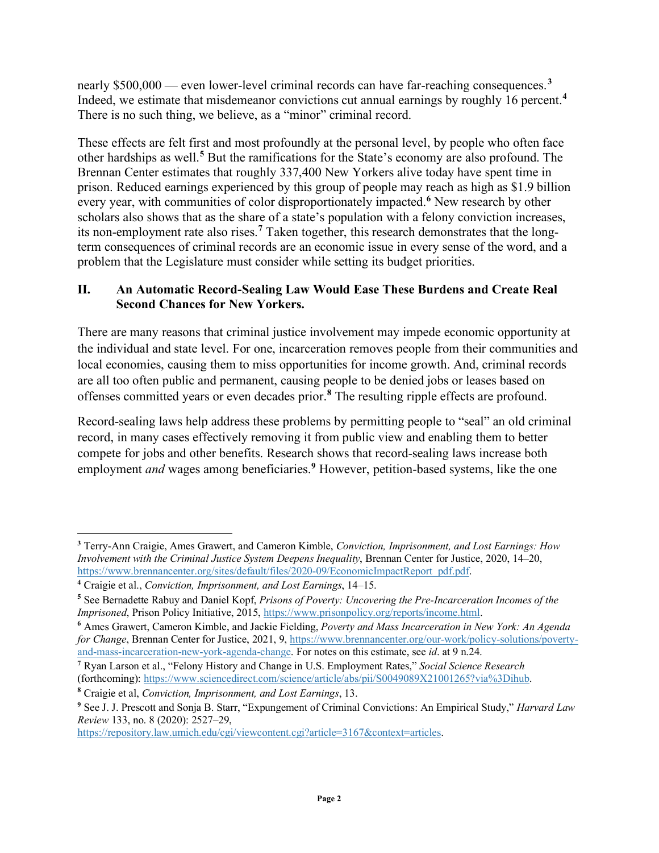nearly \$500,000 — even lower-level criminal records can have far-reaching consequences. **[3](#page-1-0)** Indeed, we estimate that misdemeanor convictions cut annual earnings by roughly 16 percent.**[4](#page-1-1)** There is no such thing, we believe, as a "minor" criminal record.

These effects are felt first and most profoundly at the personal level, by people who often face other hardships as well. **[5](#page-1-2)** But the ramifications for the State's economy are also profound. The Brennan Center estimates that roughly 337,400 New Yorkers alive today have spent time in prison. Reduced earnings experienced by this group of people may reach as high as \$1.9 billion every year, with communities of color disproportionately impacted. **[6](#page-1-3)** New research by other scholars also shows that as the share of a state's population with a felony conviction increases, its non-employment rate also rises. **[7](#page-1-4)** Taken together, this research demonstrates that the longterm consequences of criminal records are an economic issue in every sense of the word, and a problem that the Legislature must consider while setting its budget priorities.

### **II. An Automatic Record-Sealing Law Would Ease These Burdens and Create Real Second Chances for New Yorkers.**

There are many reasons that criminal justice involvement may impede economic opportunity at the individual and state level. For one, incarceration removes people from their communities and local economies, causing them to miss opportunities for income growth. And, criminal records are all too often public and permanent, causing people to be denied jobs or leases based on offenses committed years or even decades prior. **[8](#page-1-5)** The resulting ripple effects are profound.

Record-sealing laws help address these problems by permitting people to "seal" an old criminal record, in many cases effectively removing it from public view and enabling them to better compete for jobs and other benefits. Research shows that record-sealing laws increase both employment *and* wages among beneficiaries. **[9](#page-1-6)** However, petition-based systems, like the one

[https://repository.law.umich.edu/cgi/viewcontent.cgi?article=3167&context=articles.](https://repository.law.umich.edu/cgi/viewcontent.cgi?article=3167&context=articles)

<span id="page-1-0"></span>**<sup>3</sup>** Terry-Ann Craigie, Ames Grawert, and Cameron Kimble, *Conviction, Imprisonment, and Lost Earnings: How Involvement with the Criminal Justice System Deepens Inequality*, Brennan Center for Justice, 2020, 14–20, [https://www.brennancenter.org/sites/default/files/2020-09/EconomicImpactReport\\_pdf.pdf.](https://www.brennancenter.org/sites/default/files/2020-09/EconomicImpactReport_pdf.pdf)

<span id="page-1-1"></span>**<sup>4</sup>** Craigie et al., *Conviction, Imprisonment, and Lost Earnings*, 14–15.

<span id="page-1-2"></span>**<sup>5</sup>** See Bernadette Rabuy and Daniel Kopf, *Prisons of Poverty: Uncovering the Pre-Incarceration Incomes of the Imprisoned*, Prison Policy Initiative, 2015, [https://www.prisonpolicy.org/reports/income.html.](https://www.prisonpolicy.org/reports/income.html)

<span id="page-1-3"></span>**<sup>6</sup>** Ames Grawert, Cameron Kimble, and Jackie Fielding, *Poverty and Mass Incarceration in New York: An Agenda for Change*, Brennan Center for Justice, 2021, 9, [https://www.brennancenter.org/our-work/policy-solutions/poverty](https://www.brennancenter.org/our-work/policy-solutions/poverty-and-mass-incarceration-new-york-agenda-change)[and-mass-incarceration-new-york-agenda-change.](https://www.brennancenter.org/our-work/policy-solutions/poverty-and-mass-incarceration-new-york-agenda-change) For notes on this estimate, see *id*. at 9 n.24.

<span id="page-1-4"></span>**<sup>7</sup>** Ryan Larson et al., "Felony History and Change in U.S. Employment Rates," *Social Science Research* (forthcoming): [https://www.sciencedirect.com/science/article/abs/pii/S0049089X21001265?via%3Dihub.](https://www.sciencedirect.com/science/article/abs/pii/S0049089X21001265?via%3Dihub)

<span id="page-1-5"></span>**<sup>8</sup>** Craigie et al, *Conviction, Imprisonment, and Lost Earnings*, 13.

<span id="page-1-6"></span>**<sup>9</sup>** See J. J. Prescott and Sonja B. Starr, "Expungement of Criminal Convictions: An Empirical Study," *Harvard Law Review* 133, no. 8 (2020): 2527–29,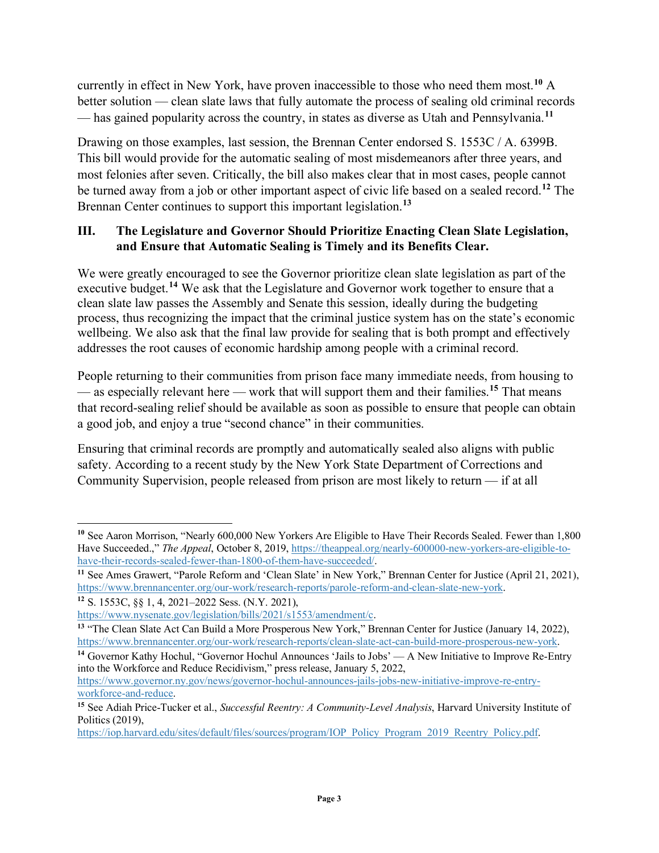currently in effect in New York, have proven inaccessible to those who need them most. **[10](#page-2-0)** A better solution — clean slate laws that fully automate the process of sealing old criminal records — has gained popularity across the country, in states as diverse as Utah and Pennsylvania.**[11](#page-2-1)**

Drawing on those examples, last session, the Brennan Center endorsed S. 1553C / A. 6399B. This bill would provide for the automatic sealing of most misdemeanors after three years, and most felonies after seven. Critically, the bill also makes clear that in most cases, people cannot be turned away from a job or other important aspect of civic life based on a sealed record.**[12](#page-2-2)** The Brennan Center continues to support this important legislation.**[13](#page-2-3)**

## **III. The Legislature and Governor Should Prioritize Enacting Clean Slate Legislation, and Ensure that Automatic Sealing is Timely and its Benefits Clear.**

We were greatly encouraged to see the Governor prioritize clean slate legislation as part of the executive budget.**[14](#page-2-4)** We ask that the Legislature and Governor work together to ensure that a clean slate law passes the Assembly and Senate this session, ideally during the budgeting process, thus recognizing the impact that the criminal justice system has on the state's economic wellbeing. We also ask that the final law provide for sealing that is both prompt and effectively addresses the root causes of economic hardship among people with a criminal record.

People returning to their communities from prison face many immediate needs, from housing to — as especially relevant here — work that will support them and their families.**[15](#page-2-5)** That means that record-sealing relief should be available as soon as possible to ensure that people can obtain a good job, and enjoy a true "second chance" in their communities.

Ensuring that criminal records are promptly and automatically sealed also aligns with public safety. According to a recent study by the New York State Department of Corrections and Community Supervision, people released from prison are most likely to return — if at all

<span id="page-2-0"></span><sup>&</sup>lt;sup>10</sup> See Aaron Morrison, "Nearly 600,000 New Yorkers Are Eligible to Have Their Records Sealed. Fewer than 1,800 Have Succeeded.," *The Appeal*, October 8, 2019, [https://theappeal.org/nearly-600000-new-yorkers-are-eligible-to](https://theappeal.org/nearly-600000-new-yorkers-are-eligible-to-have-their-records-sealed-fewer-than-1800-of-them-have-succeeded/P)[have-their-records-sealed-fewer-than-1800-of-them-have-succeeded/.](https://theappeal.org/nearly-600000-new-yorkers-are-eligible-to-have-their-records-sealed-fewer-than-1800-of-them-have-succeeded/P)

<span id="page-2-1"></span><sup>&</sup>lt;sup>11</sup> See Ames Grawert, "Parole Reform and 'Clean Slate' in New York," Brennan Center for Justice (April 21, 2021), [https://www.brennancenter.org/our-work/research-reports/parole-reform-and-clean-slate-new-york.](https://www.brennancenter.org/our-work/research-reports/parole-reform-and-clean-slate-new-york) 

<span id="page-2-2"></span>**<sup>12</sup>** S. 1553C, §§ 1, 4, 2021–2022 Sess. (N.Y. 2021),

[https://www.nysenate.gov/legislation/bills/2021/s1553/amendment/c.](https://www.nysenate.gov/legislation/bills/2021/s1553/amendment/c)

<span id="page-2-3"></span>**<sup>13</sup>** "The Clean Slate Act Can Build a More Prosperous New York," Brennan Center for Justice (January 14, 2022), [https://www.brennancenter.org/our-work/research-reports/clean-slate-act-can-build-more-prosperous-new-york.](https://www.brennancenter.org/our-work/research-reports/clean-slate-act-can-build-more-prosperous-new-york)

<span id="page-2-4"></span><sup>&</sup>lt;sup>14</sup> Governor Kathy Hochul, "Governor Hochul Announces 'Jails to Jobs' — A New Initiative to Improve Re-Entry into the Workforce and Reduce Recidivism," press release, January 5, 2022,

[https://www.governor.ny.gov/news/governor-hochul-announces-jails-jobs-new-initiative-improve-re-entry](https://www.governor.ny.gov/news/governor-hochul-announces-jails-jobs-new-initiative-improve-re-entry-workforce-and-reduce)[workforce-and-reduce.](https://www.governor.ny.gov/news/governor-hochul-announces-jails-jobs-new-initiative-improve-re-entry-workforce-and-reduce)

<span id="page-2-5"></span>**<sup>15</sup>** See Adiah Price-Tucker et al., *Successful Reentry: A Community-Level Analysis*, Harvard University Institute of Politics (2019),

[https://iop.harvard.edu/sites/default/files/sources/program/IOP\\_Policy\\_Program\\_2019\\_Reentry\\_Policy.pdf.](https://iop.harvard.edu/sites/default/files/sources/program/IOP_Policy_Program_2019_Reentry_Policy.pdf)